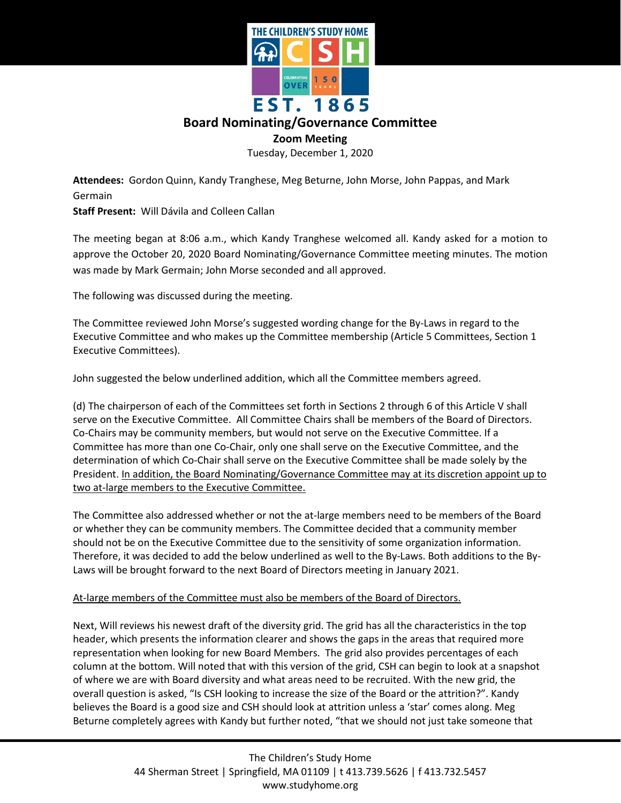

## **Board Nominating/Governance Committee**

## **Zoom Meeting**

Tuesday, December 1, 2020

**Attendees:** Gordon Quinn, Kandy Tranghese, Meg Beturne, John Morse, John Pappas, and Mark Germain

**Staff Present:** Will Dávila and Colleen Callan

The meeting began at 8:06 a.m., which Kandy Tranghese welcomed all. Kandy asked for a motion to approve the October 20, 2020 Board Nominating/Governance Committee meeting minutes. The motion was made by Mark Germain; John Morse seconded and all approved.

The following was discussed during the meeting.

The Committee reviewed John Morse's suggested wording change for the By-Laws in regard to the Executive Committee and who makes up the Committee membership (Article 5 Committees, Section 1 Executive Committees).

John suggested the below underlined addition, which all the Committee members agreed.

(d) The chairperson of each of the Committees set forth in Sections 2 through 6 of this Article V shall serve on the Executive Committee. All Committee Chairs shall be members of the Board of Directors. Co-Chairs may be community members, but would not serve on the Executive Committee. If a Committee has more than one Co-Chair, only one shall serve on the Executive Committee, and the determination of which Co-Chair shall serve on the Executive Committee shall be made solely by the President. In addition, the Board Nominating/Governance Committee may at its discretion appoint up to two at-large members to the Executive Committee.

The Committee also addressed whether or not the at-large members need to be members of the Board or whether they can be community members. The Committee decided that a community member should not be on the Executive Committee due to the sensitivity of some organization information. Therefore, it was decided to add the below underlined as well to the By-Laws. Both additions to the By-Laws will be brought forward to the next Board of Directors meeting in January 2021.

## At-large members of the Committee must also be members of the Board of Directors.

Next, Will reviews his newest draft of the diversity grid. The grid has all the characteristics in the top header, which presents the information clearer and shows the gaps in the areas that required more representation when looking for new Board Members. The grid also provides percentages of each column at the bottom. Will noted that with this version of the grid, CSH can begin to look at a snapshot of where we are with Board diversity and what areas need to be recruited. With the new grid, the overall question is asked, "Is CSH looking to increase the size of the Board or the attrition?". Kandy believes the Board is a good size and CSH should look at attrition unless a 'star' comes along. Meg Beturne completely agrees with Kandy but further noted, "that we should not just take someone that